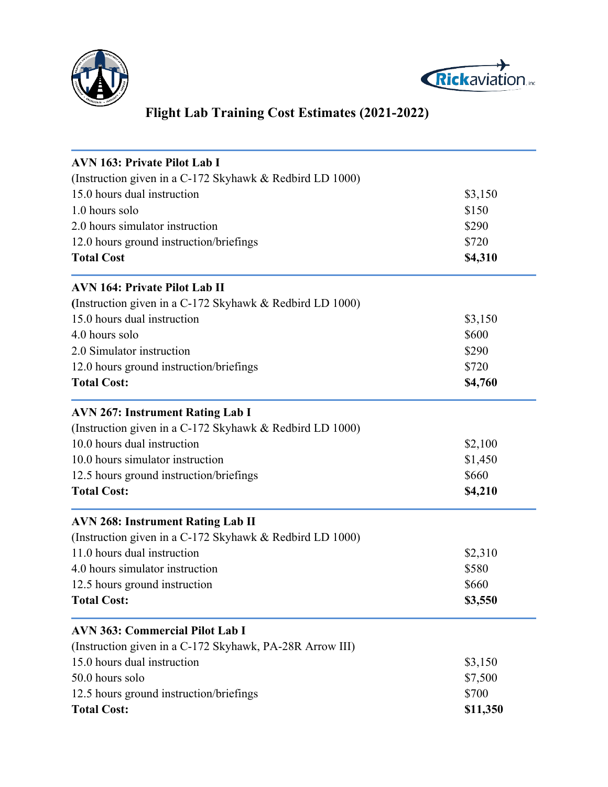



## **Flight Lab Training Cost Estimates (2021-2022)**

| <b>AVN 163: Private Pilot Lab I</b>                      |          |
|----------------------------------------------------------|----------|
| (Instruction given in a C-172 Skyhawk & Redbird LD 1000) |          |
| 15.0 hours dual instruction                              | \$3,150  |
| 1.0 hours solo                                           | \$150    |
| 2.0 hours simulator instruction                          | \$290    |
| 12.0 hours ground instruction/briefings                  | \$720    |
| <b>Total Cost</b>                                        | \$4,310  |
| <b>AVN 164: Private Pilot Lab II</b>                     |          |
| (Instruction given in a C-172 Skyhawk & Redbird LD 1000) |          |
| 15.0 hours dual instruction                              | \$3,150  |
| 4.0 hours solo                                           | \$600    |
| 2.0 Simulator instruction                                | \$290    |
| 12.0 hours ground instruction/briefings                  | \$720    |
| <b>Total Cost:</b>                                       | \$4,760  |
| <b>AVN 267: Instrument Rating Lab I</b>                  |          |
| (Instruction given in a C-172 Skyhawk & Redbird LD 1000) |          |
| 10.0 hours dual instruction                              | \$2,100  |
| 10.0 hours simulator instruction                         | \$1,450  |
| 12.5 hours ground instruction/briefings                  | \$660    |
| <b>Total Cost:</b>                                       | \$4,210  |
| <b>AVN 268: Instrument Rating Lab II</b>                 |          |
| (Instruction given in a C-172 Skyhawk & Redbird LD 1000) |          |
| 11.0 hours dual instruction                              | \$2,310  |
| 4.0 hours simulator instruction                          | \$580    |
| 12.5 hours ground instruction                            | \$660    |
| <b>Total Cost:</b>                                       | \$3,550  |
| <b>AVN 363: Commercial Pilot Lab I</b>                   |          |
| (Instruction given in a C-172 Skyhawk, PA-28R Arrow III) |          |
| 15.0 hours dual instruction                              | \$3,150  |
| 50.0 hours solo                                          | \$7,500  |
| 12.5 hours ground instruction/briefings                  | \$700    |
| <b>Total Cost:</b>                                       | \$11,350 |